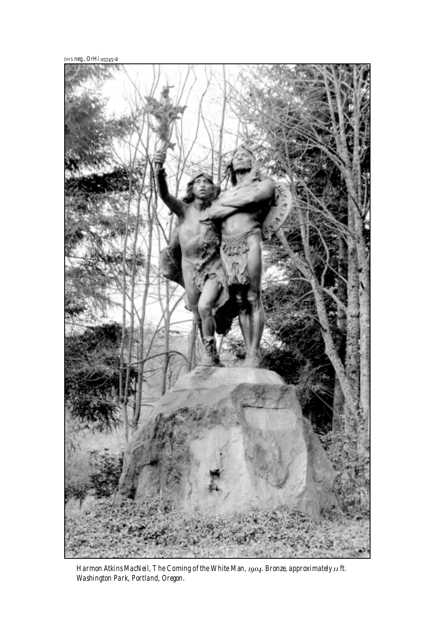OHS neg., OrHi 25745-a



Washington Park, Portland *Harmon Atkins MacNeil, The Coming of the White Man, 1904. Bronze, approximately 11 ft. Washington Park, Portland, Oregon.*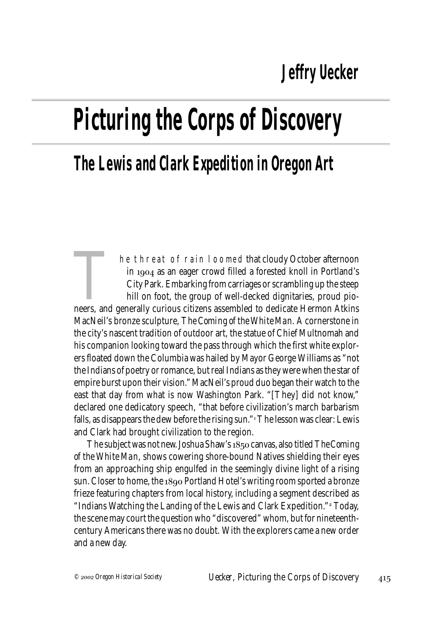## **Picturing the Corps of Discovery**

## **The Lewis and Clark Expedition in Oregon Art**

The threat of rain loomed that cloudy October afternoon<br>in 1904 as an eager crowd filled a forested knoll in Portland's<br>City Park. Embarking from carriages or scrambling up the steep<br>hill on foot, the group of well-decked in  $1904$  as an eager crowd filled a forested knoll in Portland's City Park. Embarking from carriages or scrambling up the steep hill on foot, the group of well-decked dignitaries, proud pio-MacNeil's bronze sculpture, *The Coming of the White Man*. A cornerstone in the city's nascent tradition of outdoor art, the statue of Chief Multnomah and his companion looking toward the pass through which the first white explorers floated down the Columbia was hailed by Mayor George Williams as "not the Indians of poetry or romance, but real Indians as they were when the star of empire burst upon their vision." MacNeil's proud duo began their watch to the east that day from what is now Washington Park. "[They] did not know," declared one dedicatory speech, "that before civilization's march barbarism falls, as disappears the dew before the rising sun." The lesson was clear: Lewis and Clark had brought civilization to the region.

The subject was not new. Joshua Shaw's 1850 canvas, also titled *The Coming of the White Man*, shows cowering shore-bound Natives shielding their eyes from an approaching ship engulfed in the seemingly divine light of a rising sun. Closer to home, the 1890 Portland Hotel's writing room sported a bronze frieze featuring chapters from local history, including a segment described as "Indians Watching the Landing of the Lewis and Clark Expedition." Today, the scene may court the question who "discovered" whom, but for nineteenthcentury Americans there was no doubt. With the explorers came a new order and a new day.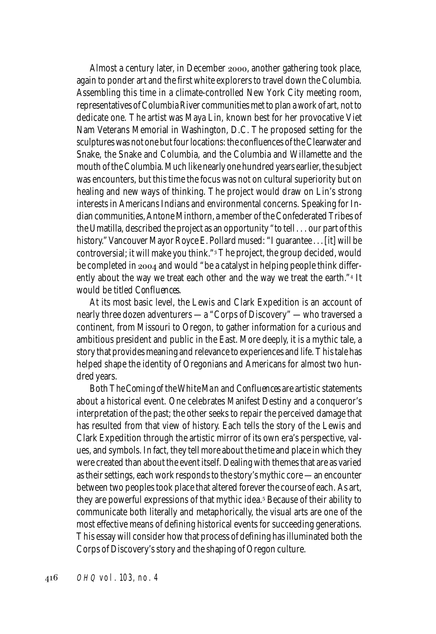Almost a century later, in December 2000, another gathering took place, again to ponder art and the first white explorers to travel down the Columbia. Assembling this time in a climate-controlled New York City meeting room, representatives of Columbia River communities met to plan a work of art, not to dedicate one. The artist was Maya Lin, known best for her provocative Viet Nam Veterans Memorial in Washington, D.C. The proposed setting for the sculptures was not one but four locations: the confluences of the Clearwater and Snake, the Snake and Columbia, and the Columbia and Willamette and the mouth of the Columbia. Much like nearly one hundred years earlier, the subject was encounters, but this time the focus was not on cultural superiority but on healing and new ways of thinking. The project would draw on Lin's strong interests in Americans Indians and environmental concerns. Speaking for Indian communities, Antone Minthorn, a member of the Confederated Tribes of the Umatilla, described the project as an opportunity "to tell . . . our part of this history." Vancouver Mayor Royce E. Pollard mused: "I guarantee . . . [it] will be controversial; it will make you think." The project, the group decided, would be completed in  $2004$  and would "be a catalyst in helping people think differently about the way we treat each other and the way we treat the earth."4 It would be titled *Confluences*.

At its most basic level, the Lewis and Clark Expedition is an account of nearly three dozen adventurers — a "Corps of Discovery" — who traversed a continent, from Missouri to Oregon, to gather information for a curious and ambitious president and public in the East. More deeply, it is a mythic tale, a story that provides meaning and relevance to experiences and life. This tale has helped shape the identity of Oregonians and Americans for almost two hundred years.

Both *The Coming of the White Man* and *Confluences* are artistic statements about a historical event. One celebrates Manifest Destiny and a conqueror's interpretation of the past; the other seeks to repair the perceived damage that has resulted from that view of history. Each tells the story of the Lewis and Clark Expedition through the artistic mirror of its own era's perspective, values, and symbols. In fact, they tell more about the time and place in which they were created than about the event itself. Dealing with themes that are as varied as their settings, each work responds to the story's mythic core — an encounter between two peoples took place that altered forever the course of each. As art, they are powerful expressions of that mythic idea.<sup>5</sup> Because of their ability to communicate both literally and metaphorically, the visual arts are one of the most effective means of defining historical events for succeeding generations. This essay will consider how that process of defining has illuminated both the Corps of Discovery's story and the shaping of Oregon culture.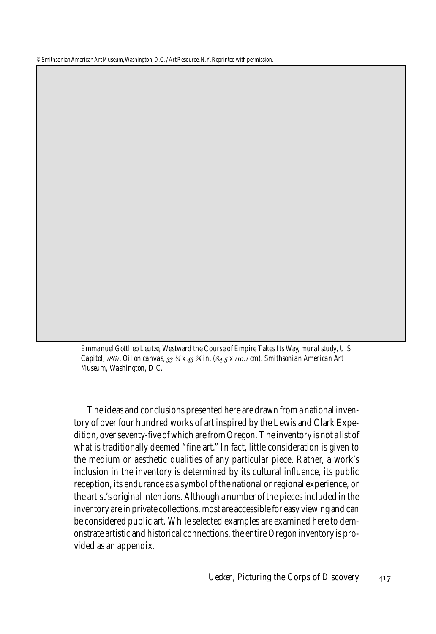© Smithsonian American Art Museum, Washington, D.C. / Art Resource, N.Y. Reprinted with permission.

*Emmanuel Gottlieb Leutze,* Westward the Course of Empire Takes Its Way, *mural study, U.S. Capitol, . Oil on canvas, ¼ x ⅜ in. (. x . cm). Smithsonian American Art Museum, Washington, D.C.*

The ideas and conclusions presented here are drawn from a national inventory of over four hundred works of art inspired by the Lewis and Clark Expedition, over seventy-five of which are from Oregon. The inventory is not a list of what is traditionally deemed "fine art." In fact, little consideration is given to the medium or aesthetic qualities of any particular piece. Rather, a work's inclusion in the inventory is determined by its cultural influence, its public reception, its endurance as a symbol of the national or regional experience, or the artist's original intentions. Although a number of the pieces included in the inventory are in private collections, most are accessible for easy viewing and can be considered public art. While selected examples are examined here to demonstrate artistic and historical connections, the entire Oregon inventory is provided as an appendix.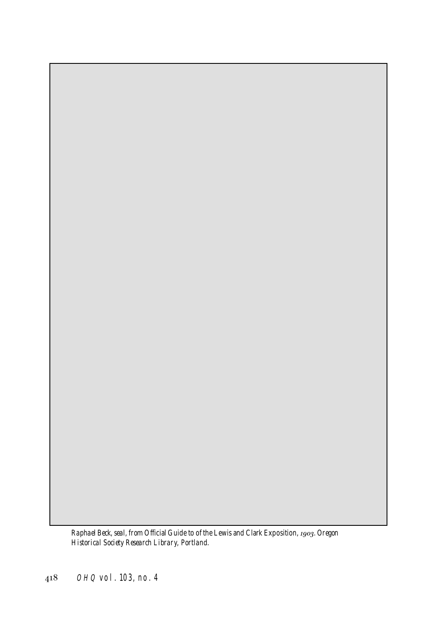*Raphael Beck, seal, from* Official Guide to of the Lewis and Clark Exposition, *. Oregon Historical Society Research Library, Portland.*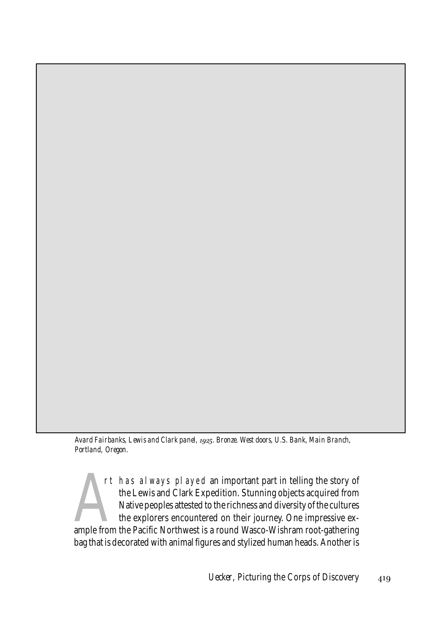*Avard Fairbanks, Lewis and Clark panel, . Bronze. West doors, U.S. Bank, Main Branch, Portland, Oregon.*

rt has always played an important part in telling the story of<br>the Lewis and Clark Expedition. Stunning objects acquired from<br>Native peoples attested to the richness and diversity of the cultures<br>the explorers encountered rt has always played an important part in telling the story of the Lewis and Clark Expedition. Stunning objects acquired from Native peoples attested to the richness and diversity of the cultures the explorers encountered on their journey. One impressive exbag that is decorated with animal figures and stylized human heads. Another is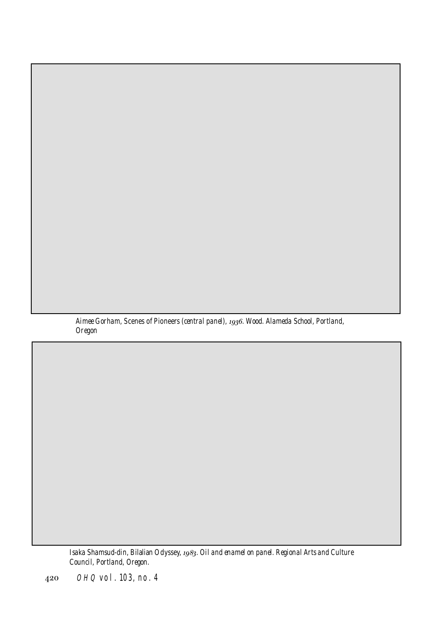*Aimee Gorham,* Scenes of Pioneers *(central panel), . Wood. Alameda School, Portland, Oregon*

*Isaka Shamsud-din,* Bilalian Odyssey, *. Oil and enamel on panel. Regional Arts and Culture Council, Portland, Oregon.*

OHQ vol. 103, no. 4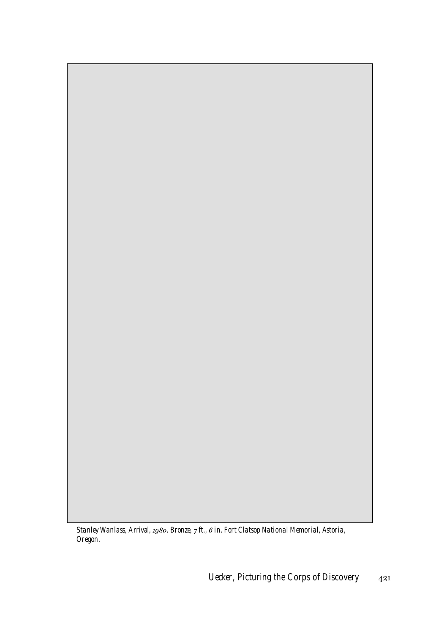*Stanley Wanlass,* Arrival, *. Bronze, ft., in. Fort Clatsop National Memorial, Astoria, Oregon.*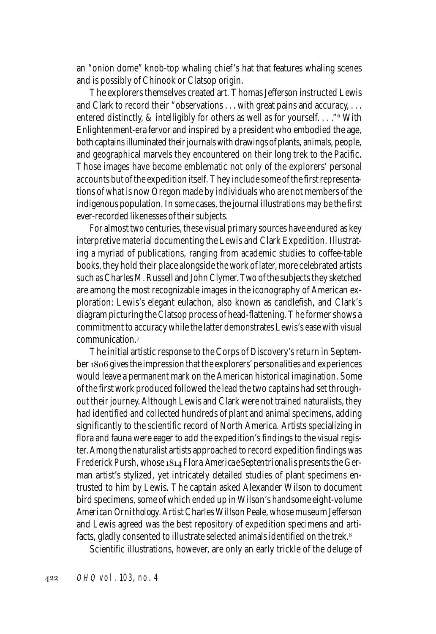an "onion dome" knob-top whaling chief 's hat that features whaling scenes and is possibly of Chinook or Clatsop origin.

The explorers themselves created art. Thomas Jefferson instructed Lewis and Clark to record their "observations . . . with great pains and accuracy, . . . entered distinctly, & intelligibly for others as well as for yourself. . . ." With Enlightenment-era fervor and inspired by a president who embodied the age, both captains illuminated their journals with drawings of plants, animals, people, and geographical marvels they encountered on their long trek to the Pacific. Those images have become emblematic not only of the explorers' personal accounts but of the expedition itself. They include some of the first representations of what is now Oregon made by individuals who are not members of the indigenous population. In some cases, the journal illustrations may be the first ever-recorded likenesses of their subjects.

For almost two centuries, these visual primary sources have endured as key interpretive material documenting the Lewis and Clark Expedition. Illustrating a myriad of publications, ranging from academic studies to coffee-table books, they hold their place alongside the work of later, more celebrated artists such as Charles M. Russell and John Clymer. Two of the subjects they sketched are among the most recognizable images in the iconography of American exploration: Lewis's elegant eulachon, also known as candlefish, and Clark's diagram picturing the Clatsop process of head-flattening. The former shows a commitment to accuracy while the latter demonstrates Lewis's ease with visual communication.

The initial artistic response to the Corps of Discovery's return in September 1806 gives the impression that the explorers' personalities and experiences would leave a permanent mark on the American historical imagination. Some of the first work produced followed the lead the two captains had set throughout their journey. Although Lewis and Clark were not trained naturalists, they had identified and collected hundreds of plant and animal specimens, adding significantly to the scientific record of North America. Artists specializing in flora and fauna were eager to add the expedition's findings to the visual register. Among the naturalist artists approached to record expedition findings was Frederick Pursh, whose *Flora Americae Septentrionalis* presents the German artist's stylized, yet intricately detailed studies of plant specimens entrusted to him by Lewis. The captain asked Alexander Wilson to document bird specimens, some of which ended up in Wilson's handsome eight-volume *American Ornithology*. Artist Charles Willson Peale, whose museum Jefferson and Lewis agreed was the best repository of expedition specimens and artifacts, gladly consented to illustrate selected animals identified on the trek.

Scientific illustrations, however, are only an early trickle of the deluge of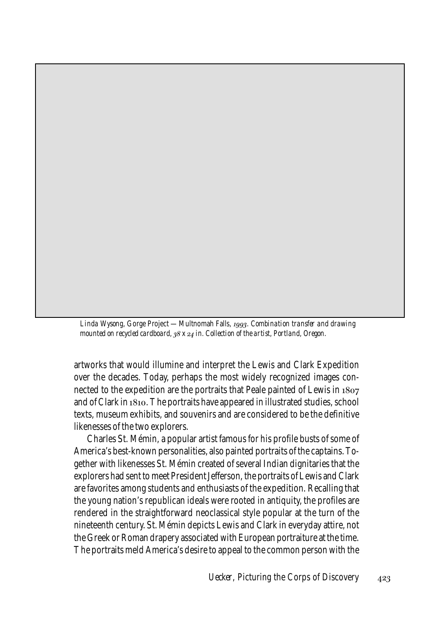*Linda Wysong,* Gorge Project — Multnomah Falls, *. Combination transfer and drawing mounted on recycled cardboard, x in. Collection of the artist, Portland, Oregon.*

artworks that would illumine and interpret the Lewis and Clark Expedition over the decades. Today, perhaps the most widely recognized images connected to the expedition are the portraits that Peale painted of Lewis in and of Clark in 1810. The portraits have appeared in illustrated studies, school texts, museum exhibits, and souvenirs and are considered to be the definitive likenesses of the two explorers.

Charles St. Mémin, a popular artist famous for his profile busts of some of America's best-known personalities, also painted portraits of the captains. Together with likenesses St. Mémin created of several Indian dignitaries that the explorers had sent to meet President Jefferson, the portraits of Lewis and Clark are favorites among students and enthusiasts of the expedition. Recalling that the young nation's republican ideals were rooted in antiquity, the profiles are rendered in the straightforward neoclassical style popular at the turn of the nineteenth century. St. Mémin depicts Lewis and Clark in everyday attire, not the Greek or Roman drapery associated with European portraiture at the time. The portraits meld America's desire to appeal to the common person with the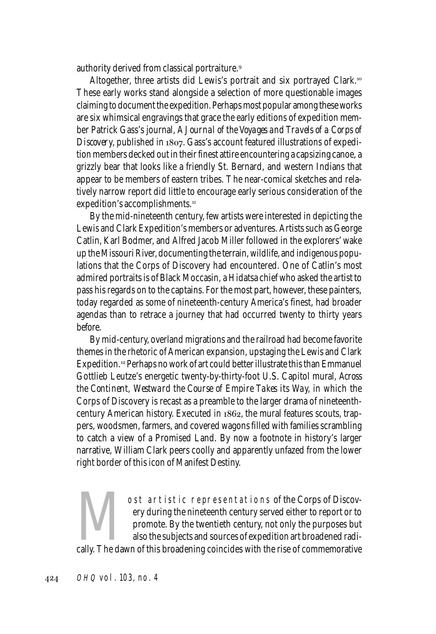authority derived from classical portraiture.

Altogether, three artists did Lewis's portrait and six portrayed Clark. These early works stand alongside a selection of more questionable images claiming to document the expedition. Perhaps most popular among these works are six whimsical engravings that grace the early editions of expedition member Patrick Gass's journal, *A Journal of the Voyages and Travels of a Corps of Discovery*, published in 1807. Gass's account featured illustrations of expedition members decked out in their finest attire encountering a capsizing canoe, a grizzly bear that looks like a friendly St. Bernard, and western Indians that appear to be members of eastern tribes. The near-comical sketches and relatively narrow report did little to encourage early serious consideration of the expedition's accomplishments.

By the mid-nineteenth century, few artists were interested in depicting the Lewis and Clark Expedition's members or adventures. Artists such as George Catlin, Karl Bodmer, and Alfred Jacob Miller followed in the explorers' wake up the Missouri River, documenting the terrain, wildlife, and indigenous populations that the Corps of Discovery had encountered. One of Catlin's most admired portraits is of Black Moccasin, a Hidatsa chief who asked the artist to pass his regards on to the captains. For the most part, however, these painters, today regarded as some of nineteenth-century America's finest, had broader agendas than to retrace a journey that had occurred twenty to thirty years before.

By mid-century, overland migrations and the railroad had become favorite themes in the rhetoric of American expansion, upstaging the Lewis and Clark Expedition.<sup>12</sup> Perhaps no work of art could better illustrate this than Emmanuel Gottlieb Leutze's energetic twenty-by-thirty-foot U.S. Capitol mural, *Across the Continent, Westward the Course of Empire Takes its Wa*y, in which the Corps of Discovery is recast as a preamble to the larger drama of nineteenthcentury American history. Executed in 1862, the mural features scouts, trappers, woodsmen, farmers, and covered wagons filled with families scrambling to catch a view of a Promised Land. By now a footnote in history's larger narrative, William Clark peers coolly and apparently unfazed from the lower right border of this icon of Manifest Destiny.

Ost artistic representations of the Corps of Discovery during the nineteenth century served either to report or to promote. By the twentieth century, not only the purposes but also the subjects and sources of expedition ar ery during the nineteenth century served either to report or to promote. By the twentieth century, not only the purposes but also the subjects and sources of expedition art broadened radi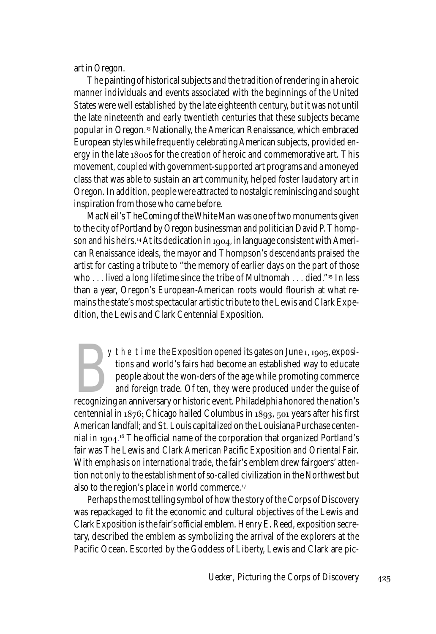art in Oregon.

The painting of historical subjects and the tradition of rendering in a heroic manner individuals and events associated with the beginnings of the United States were well established by the late eighteenth century, but it was not until the late nineteenth and early twentieth centuries that these subjects became popular in Oregon.<sup>13</sup> Nationally, the American Renaissance, which embraced European styles while frequently celebrating American subjects, provided energy in the late  $1800s$  for the creation of heroic and commemorative art. This movement, coupled with government-supported art programs and a moneyed class that was able to sustain an art community, helped foster laudatory art in Oregon. In addition, people were attracted to nostalgic reminiscing and sought inspiration from those who came before.

MacNeil's *The Coming of the White Man* was one of two monuments given to the city of Portland by Oregon businessman and politician David P. Thompson and his heirs.<sup>14</sup> At its dedication in 1904, in language consistent with American Renaissance ideals, the mayor and Thompson's descendants praised the artist for casting a tribute to "the memory of earlier days on the part of those who  $\ldots$  lived a long lifetime since the tribe of Multnomah  $\ldots$  died." In less than a year, Oregon's European-American roots would flourish at what remains the state's most spectacular artistic tribute to the Lewis and Clark Expedition, the Lewis and Clark Centennial Exposition.

y the time the Exposition opened its gates on June 1, 1905, expositions and world's fairs had become an established way to educate people about the won-ders of the age while promoting commerce and foreign trade. Of ten, th  $\gamma$  the time the Exposition opened its gates on June 1, 1905, expositions and world's fairs had become an established way to educate people about the won-ders of the age while promoting commerce and foreign trade. Of ten, they were produced under the guise of centennial in  $1876$ ; Chicago hailed Columbus in  $1893$ ,  $501$  years after his first American landfall; and St. Louis capitalized on the Louisiana Purchase centennial in 1904.16 The official name of the corporation that organized Portland's fair was The Lewis and Clark American Pacific Exposition and Oriental Fair. With emphasis on international trade, the fair's emblem drew fairgoers' attention not only to the establishment of so-called civilization in the Northwest but also to the region's place in world commerce.

Perhaps the most telling symbol of how the story of the Corps of Discovery was repackaged to fit the economic and cultural objectives of the Lewis and Clark Exposition is the fair's official emblem. Henry E. Reed, exposition secretary, described the emblem as symbolizing the arrival of the explorers at the Pacific Ocean. Escorted by the Goddess of Liberty, Lewis and Clark are pic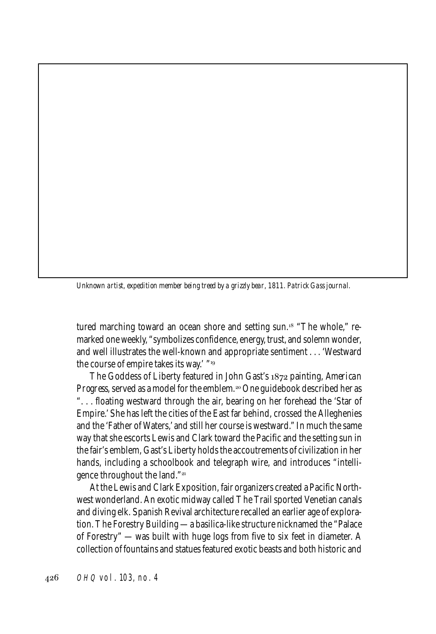*Unknown artist, expedition member being treed by a grizzly bear, 1811. Patrick Gass journal.*

tured marching toward an ocean shore and setting sun.<sup>18</sup> "The whole," remarked one weekly, "symbolizes confidence, energy, trust, and solemn wonder, and well illustrates the well-known and appropriate sentiment . . . 'Westward the course of empire takes its way.' "19

The Goddess of Liberty featured in John Gast's 1872 painting, *American Progress*, served as a model for the emblem.<sup>20</sup> One guidebook described her as ". . . floating westward through the air, bearing on her forehead the 'Star of Empire.' She has left the cities of the East far behind, crossed the Alleghenies and the 'Father of Waters,' and still her course is westward." In much the same way that she escorts Lewis and Clark toward the Pacific and the setting sun in the fair's emblem, Gast's Liberty holds the accoutrements of civilization in her hands, including a schoolbook and telegraph wire, and introduces "intelligence throughout the land."

At the Lewis and Clark Exposition, fair organizers created a Pacific Northwest wonderland. An exotic midway called The Trail sported Venetian canals and diving elk. Spanish Revival architecture recalled an earlier age of exploration. The Forestry Building — a basilica-like structure nicknamed the "Palace of Forestry" — was built with huge logs from five to six feet in diameter. A collection of fountains and statues featured exotic beasts and both historic and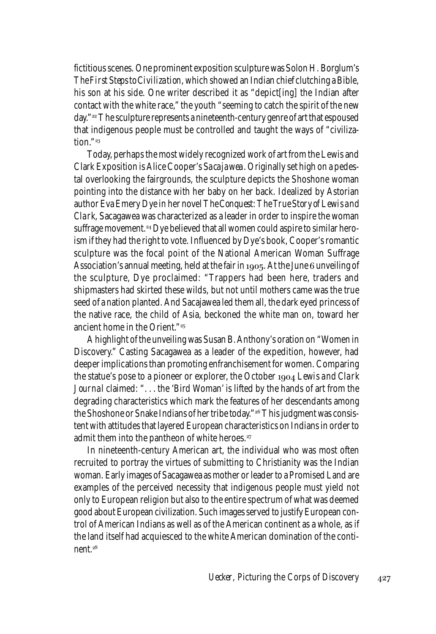fictitious scenes. One prominent exposition sculpture was Solon H. Borglum's *The First Steps to Civilization,* which showed an Indian chief clutching a Bible, his son at his side. One writer described it as "depict[ing] the Indian after contact with the white race," the youth "seeming to catch the spirit of the new day."<sup>22</sup> The sculpture represents a nineteenth-century genre of art that espoused that indigenous people must be controlled and taught the ways of "civiliza $tion.$ "<sup>23</sup>

Today, perhaps the most widely recognized work of art from the Lewis and Clark Exposition is Alice Cooper's *Sacajawea*. Originally set high on a pedestal overlooking the fairgrounds, the sculpture depicts the Shoshone woman pointing into the distance with her baby on her back. Idealized by Astorian author Eva Emery Dye in her novel *The Conquest: The True Story of Lewis and Clark*, Sacagawea was characterized as a leader in order to inspire the woman suffrage movement.<sup>24</sup> Dye believed that all women could aspire to similar heroism if they had the right to vote. Influenced by Dye's book, Cooper's romantic sculpture was the focal point of the National American Woman Suffrage Association's annual meeting, held at the fair in 1905. At the June  $6$  unveiling of the sculpture, Dye proclaimed: "Trappers had been here, traders and shipmasters had skirted these wilds, but not until mothers came was the true seed of a nation planted. And Sacajawea led them all, the dark eyed princess of the native race, the child of Asia, beckoned the white man on, toward her ancient home in the Orient."

A highlight of the unveiling was Susan B. Anthony's oration on "Women in Discovery." Casting Sacagawea as a leader of the expedition, however, had deeper implications than promoting enfranchisement for women. Comparing the statue's pose to a pioneer or explorer, the October *Lewis and Clark Journal* claimed: ". . . the 'Bird Woman' is lifted by the hands of art from the degrading characteristics which mark the features of her descendants among the Shoshone or Snake Indians of her tribe today."<sup>26</sup> This judgment was consistent with attitudes that layered European characteristics on Indians in order to admit them into the pantheon of white heroes.<sup>27</sup>

In nineteenth-century American art, the individual who was most often recruited to portray the virtues of submitting to Christianity was the Indian woman. Early images of Sacagawea as mother or leader to a Promised Land are examples of the perceived necessity that indigenous people must yield not only to European religion but also to the entire spectrum of what was deemed good about European civilization. Such images served to justify European control of American Indians as well as of the American continent as a whole, as if the land itself had acquiesced to the white American domination of the continent.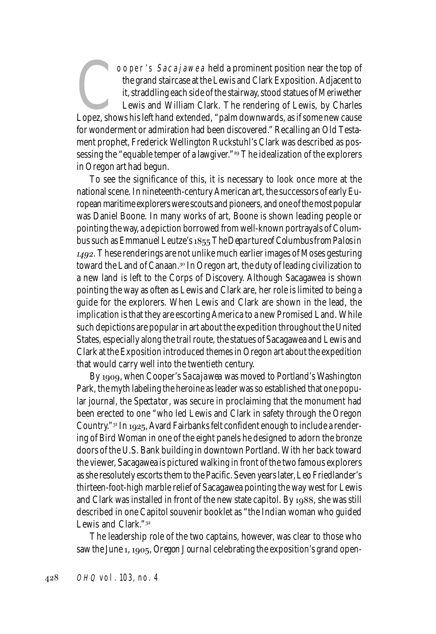OOPET's Sacajawea held a prominent position near the top of<br>the grand staircase at the Lewis and Clark Exposition. Adjacent to<br>it, straddling each side of the stairway, stood statues of Meriwether<br>Lewis and William Clark. the grand staircase at the Lewis and Clark Exposition. Adjacent to it, straddling each side of the stairway, stood statues of Meriwether Lewis and William Clark. The rendering of Lewis, by Charles for wonderment or admiration had been discovered." Recalling an Old Testament prophet, Frederick Wellington Ruckstuhl's Clark was described as possessing the "equable temper of a lawgiver."<sup>29</sup> The idealization of the explorers in Oregon art had begun.

To see the significance of this, it is necessary to look once more at the national scene. In nineteenth-century American art, the successors of early European maritime explorers were scouts and pioneers, and one of the most popular was Daniel Boone. In many works of art, Boone is shown leading people or pointing the way, a depiction borrowed from well-known portrayals of Columbus such as Emmanuel Leutze's *The Departure of Columbus from Palos in .* These renderings are not unlike much earlier images of Moses gesturing toward the Land of Canaan.<sup>30</sup> In Oregon art, the duty of leading civilization to a new land is left to the Corps of Discovery. Although Sacagawea is shown pointing the way as often as Lewis and Clark are, her role is limited to being a guide for the explorers. When Lewis and Clark are shown in the lead, the implication is that they are escorting America to a new Promised Land. While such depictions are popular in art about the expedition throughout the United States, especially along the trail route, the statues of Sacagawea and Lewis and Clark at the Exposition introduced themes in Oregon art about the expedition that would carry well into the twentieth century.

By , when Cooper's *Sacajawea* was moved to Portland's Washington Park, the myth labeling the heroine as leader was so established that one popular journal, the *Spectator*, was secure in proclaiming that the monument had been erected to one "who led Lewis and Clark in safety through the Oregon Country."<sup>31</sup> In 1925, Avard Fairbanks felt confident enough to include a rendering of Bird Woman in one of the eight panels he designed to adorn the bronze doors of the U.S. Bank building in downtown Portland. With her back toward the viewer, Sacagawea is pictured walking in front of the two famous explorers as she resolutely escorts them to the Pacific. Seven years later, Leo Friedlander's thirteen-foot-high marble relief of Sacagawea pointing the way west for Lewis and Clark was installed in front of the new state capitol. By  $1988$ , she was still described in one Capitol souvenir booklet as "the Indian woman who guided Lewis and Clark."

The leadership role of the two captains, however, was clear to those who saw the June 1, 1905, *Oregon Journal* celebrating the exposition's grand open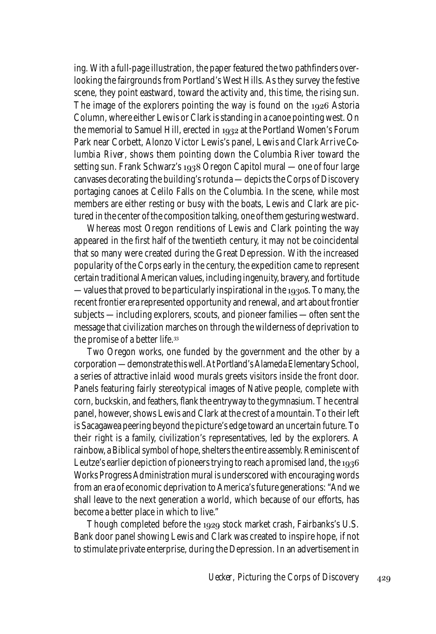ing. With a full-page illustration, the paper featured the two pathfinders overlooking the fairgrounds from Portland's West Hills. As they survey the festive scene, they point eastward, toward the activity and, this time, the rising sun. The image of the explorers pointing the way is found on the  $1926$  Astoria Column, where either Lewis or Clark is standing in a canoe pointing west. On the memorial to Samuel Hill, erected in  $1932$  at the Portland Women's Forum Park near Corbett, Alonzo Victor Lewis's panel, *Lewis and Clark Arrive Columbia River*, shows them pointing down the Columbia River toward the setting sun. Frank Schwarz's  $1938$  Oregon Capitol mural — one of four large canvases decorating the building's rotunda — depicts the Corps of Discovery portaging canoes at Celilo Falls on the Columbia. In the scene, while most members are either resting or busy with the boats, Lewis and Clark are pictured in the center of the composition talking, one of them gesturing westward.

Whereas most Oregon renditions of Lewis and Clark pointing the way appeared in the first half of the twentieth century, it may not be coincidental that so many were created during the Great Depression. With the increased popularity of the Corps early in the century, the expedition came to represent certain traditional American values, including ingenuity, bravery, and fortitude — values that proved to be particularly inspirational in the  $1930s$ . To many, the recent frontier era represented opportunity and renewal, and art about frontier subjects — including explorers, scouts, and pioneer families — often sent the message that civilization marches on through the wilderness of deprivation to the promise of a better life.

Two Oregon works, one funded by the government and the other by a corporation — demonstrate this well. At Portland's Alameda Elementary School, a series of attractive inlaid wood murals greets visitors inside the front door. Panels featuring fairly stereotypical images of Native people, complete with corn, buckskin, and feathers, flank the entryway to the gymnasium. The central panel, however, shows Lewis and Clark at the crest of a mountain. To their left is Sacagawea peering beyond the picture's edge toward an uncertain future. To their right is a family, civilization's representatives, led by the explorers. A rainbow, a Biblical symbol of hope, shelters the entire assembly. Reminiscent of Leutze's earlier depiction of pioneers trying to reach a promised land, the 1936 Works Progress Administration mural is underscored with encouraging words from an era of economic deprivation to America's future generations: "And we shall leave to the next generation a world, which because of our efforts, has become a better place in which to live."

Though completed before the 1929 stock market crash, Fairbanks's U.S. Bank door panel showing Lewis and Clark was created to inspire hope, if not to stimulate private enterprise, during the Depression. In an advertisement in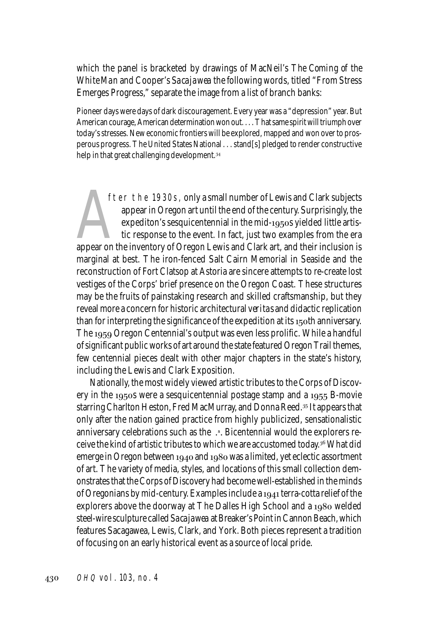which the panel is bracketed by drawings of MacNeil's *The Coming of the White Man* and Cooper's *Sacajawea* the following words, titled "From Stress Emerges Progress," separate the image from a list of branch banks:

Pioneer days were days of dark discouragement. Every year was a "depression" year. But American courage, American determination won out. . . . That same spirit will triumph over today's stresses. New economic frontiers will be explored, mapped and won over to prosperous progress. The United States National . . . stand[s] pledged to render constructive help in that great challenging development.<sup>34</sup>

fter the 1930s, only a small number of Lewis and Clark subjects<br>appear in Oregon art until the end of the century. Surprisingly, the<br>expediton's sesquicentennial in the mid-1950s yielded little artis-<br>tic response to the e fter the 1930s, only a small number of Lewis and Clark subjects appear in Oregon art until the end of the century. Surprisingly, the expediton's sesquicentennial in the mid-1950s yielded little artistic response to the event. In fact, just two examples from the era marginal at best. The iron-fenced Salt Cairn Memorial in Seaside and the reconstruction of Fort Clatsop at Astoria are sincere attempts to re-create lost vestiges of the Corps' brief presence on the Oregon Coast. These structures may be the fruits of painstaking research and skilled craftsmanship, but they reveal more a concern for historic architectural *veritas* and didactic replication than for interpreting the significance of the expedition at its 150th anniversary. The 1959 Oregon Centennial's output was even less prolific. While a handful of significant public works of art around the state featured Oregon Trail themes, few centennial pieces dealt with other major chapters in the state's history, including the Lewis and Clark Exposition.

Nationally, the most widely viewed artistic tributes to the Corps of Discovery in the 1950s were a sesquicentennial postage stamp and a  $1955$  B-movie starring Charlton Heston, Fred MacMurray, and Donna Reed.<sup>35</sup> It appears that only after the nation gained practice from highly publicized, sensationalistic anniversary celebrations such as the .<sup>s</sup>. Bicentennial would the explorers receive the kind of artistic tributes to which we are accustomed today. What did emerge in Oregon between  $1940$  and  $1980$  was a limited, yet eclectic assortment of art. The variety of media, styles, and locations of this small collection demonstrates that the Corps of Discovery had become well-established in the minds of Oregonians by mid-century. Examples include a 1941 terra-cotta relief of the explorers above the doorway at The Dalles High School and a 1980 welded steel-wire sculpture called *Sacajawea* at Breaker's Point in Cannon Beach, which features Sacagawea, Lewis, Clark, and York. Both pieces represent a tradition of focusing on an early historical event as a source of local pride.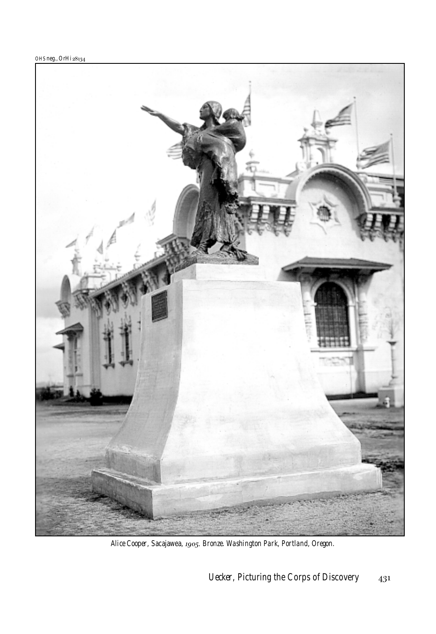

*Alice Cooper,* Sacajawea, *. Bronze. Washington Park, Portland, Oregon.*

*Uecker,* Picturing the Corps of Discovery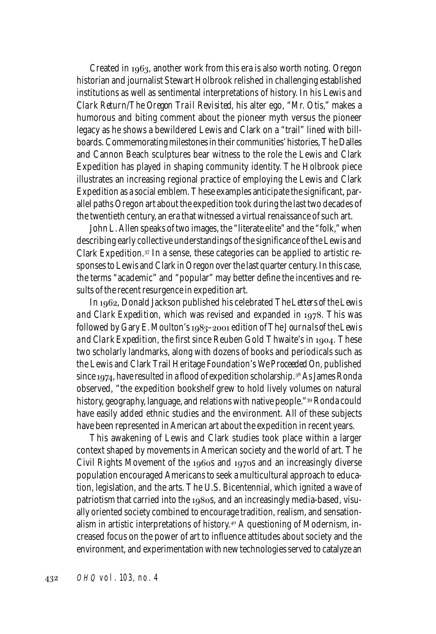Created in  $1963$ , another work from this era is also worth noting. Oregon historian and journalist Stewart Holbrook relished in challenging established institutions as well as sentimental interpretations of history. In his *Lewis and Clark Return/The Oregon Trail Revisited*, his alter ego, "Mr. Otis," makes a humorous and biting comment about the pioneer myth versus the pioneer legacy as he shows a bewildered Lewis and Clark on a "trail" lined with billboards. Commemorating milestones in their communities' histories, The Dalles and Cannon Beach sculptures bear witness to the role the Lewis and Clark Expedition has played in shaping community identity. The Holbrook piece illustrates an increasing regional practice of employing the Lewis and Clark Expedition as a social emblem. These examples anticipate the significant, parallel paths Oregon art about the expedition took during the last two decades of the twentieth century, an era that witnessed a virtual renaissance of such art.

John L. Allen speaks of two images, the "literate elite" and the "folk," when describing early collective understandings of the significance of the Lewis and Clark Expedition.<sup>37</sup> In a sense, these categories can be applied to artistic responses to Lewis and Clark in Oregon over the last quarter century. In this case, the terms "academic" and "popular" may better define the incentives and results of the recent resurgence in expedition art.

In 1962, Donald Jackson published his celebrated *The Letters of the Lewis and Clark Expedition*, which was revised and expanded in 1978. This was followed by Gary E. Moulton's 1983-2001 edition of *The Journals of the Lewis and Clark Expedition*, the first since Reuben Gold Thwaite's in 1904. These two scholarly landmarks, along with dozens of books and periodicals such as the Lewis and Clark Trail Heritage Foundation's *We Proceeded On*, published since  $1974$ , have resulted in a flood of expedition scholarship.  $38$  As James Ronda observed, "the expedition bookshelf grew to hold lively volumes on natural history, geography, language, and relations with native people." 39 Ronda could have easily added ethnic studies and the environment. All of these subjects have been represented in American art about the expedition in recent years.

This awakening of Lewis and Clark studies took place within a larger context shaped by movements in American society and the world of art. The Civil Rights Movement of the 1960s and 1970s and an increasingly diverse population encouraged Americans to seek a multicultural approach to education, legislation, and the arts. The U.S. Bicentennial, which ignited a wave of patriotism that carried into the  $1980s$ , and an increasingly media-based, visually oriented society combined to encourage tradition, realism, and sensationalism in artistic interpretations of history.<sup>40</sup> A questioning of Modernism, increased focus on the power of art to influence attitudes about society and the environment, and experimentation with new technologies served to catalyze an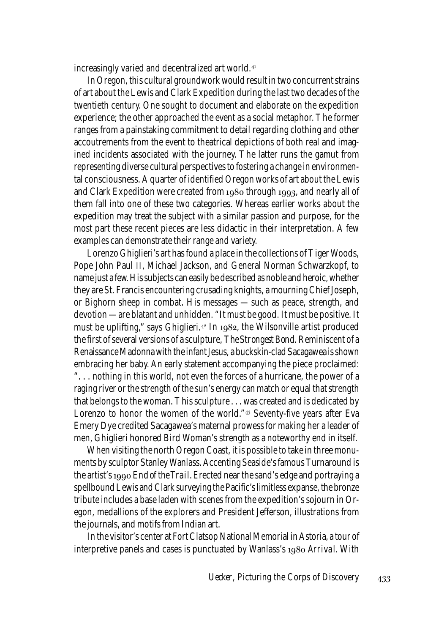increasingly varied and decentralized art world.

In Oregon, this cultural groundwork would result in two concurrent strains of art about the Lewis and Clark Expedition during the last two decades of the twentieth century. One sought to document and elaborate on the expedition experience; the other approached the event as a social metaphor. The former ranges from a painstaking commitment to detail regarding clothing and other accoutrements from the event to theatrical depictions of both real and imagined incidents associated with the journey. The latter runs the gamut from representing diverse cultural perspectives to fostering a change in environmental consciousness. A quarter of identified Oregon works of art about the Lewis and Clark Expedition were created from  $1980$  through  $1993$ , and nearly all of them fall into one of these two categories. Whereas earlier works about the expedition may treat the subject with a similar passion and purpose, for the most part these recent pieces are less didactic in their interpretation. A few examples can demonstrate their range and variety.

Lorenzo Ghiglieri's art has found a place in the collections of Tiger Woods, Pope John Paul II, Michael Jackson, and General Norman Schwarzkopf, to name just a few. His subjects can easily be described as noble and heroic, whether they are St. Francis encountering crusading knights, a mourning Chief Joseph, or Bighorn sheep in combat. His messages — such as peace, strength, and devotion — are blatant and unhidden. "It must be good. It must be positive. It must be uplifting," says Ghiglieri.<sup>42</sup> In  $1982$ , the Wilsonville artist produced the first of several versions of a sculpture, *The Strongest Bond.* Reminiscent of a Renaissance Madonna with the infant Jesus, a buckskin-clad Sacagawea is shown embracing her baby. An early statement accompanying the piece proclaimed: ". . . nothing in this world, not even the forces of a hurricane, the power of a raging river or the strength of the sun's energy can match or equal that strength that belongs to the woman. This sculpture . . . was created and is dedicated by Lorenzo to honor the women of the world." $43$  Seventy-five years after Eva Emery Dye credited Sacagawea's maternal prowess for making her a leader of men, Ghiglieri honored Bird Woman's strength as a noteworthy end in itself.

When visiting the north Oregon Coast, it is possible to take in three monuments by sculptor Stanley Wanlass. Accenting Seaside's famous Turnaround is the artist's *End of the Trail*. Erected near the sand's edge and portraying a spellbound Lewis and Clark surveying the Pacific's limitless expanse, the bronze tribute includes a base laden with scenes from the expedition's sojourn in Oregon, medallions of the explorers and President Jefferson, illustrations from the journals, and motifs from Indian art.

In the visitor's center at Fort Clatsop National Memorial in Astoria, a tour of interpretive panels and cases is punctuated by Wanlass's 1980 *Arrival*. With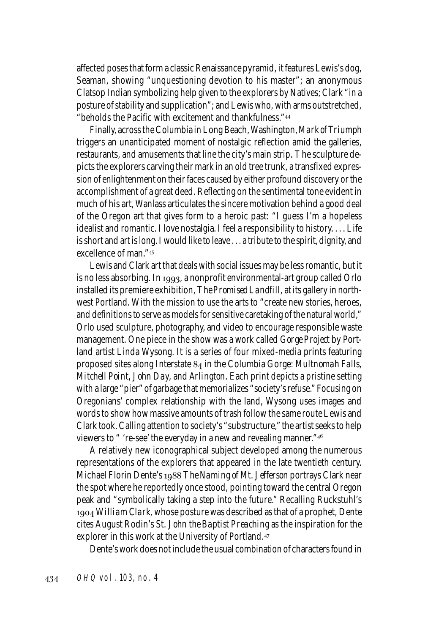affected poses that form a classic Renaissance pyramid, it features Lewis's dog, Seaman, showing "unquestioning devotion to his master"; an anonymous Clatsop Indian symbolizing help given to the explorers by Natives; Clark "in a posture of stability and supplication"; and Lewis who, with arms outstretched, "beholds the Pacific with excitement and thankfulness."

Finally, across the Columbia in Long Beach, Washington, *Mark of Triumph* triggers an unanticipated moment of nostalgic reflection amid the galleries, restaurants, and amusements that line the city's main strip. The sculpture depicts the explorers carving their mark in an old tree trunk, a transfixed expression of enlightenment on their faces caused by either profound discovery or the accomplishment of a great deed. Reflecting on the sentimental tone evident in much of his art, Wanlass articulates the sincere motivation behind a good deal of the Oregon art that gives form to a heroic past: "I guess I'm a hopeless idealist and romantic. I love nostalgia. I feel a responsibility to history. . . . Life is short and art is long. I would like to leave . . . a tribute to the spirit, dignity, and excellence of man."

Lewis and Clark art that deals with social issues may be less romantic, but it is no less absorbing. In 1993, a nonprofit environmental-art group called Orlo installed its premiere exhibition, *The Promised Landfill*, at its gallery in northwest Portland. With the mission to use the arts to "create new stories, heroes, and definitions to serve as models for sensitive caretaking of the natural world," Orlo used sculpture, photography, and video to encourage responsible waste management. One piece in the show was a work called *Gorge Project* by Portland artist Linda Wysong. It is a series of four mixed-media prints featuring proposed sites along Interstate in the Columbia Gorge: *Multnomah Falls, Mitchell Point, John Day,* and *Arlington.* Each print depicts a pristine setting with a large "pier" of garbage that memorializes "society's refuse." Focusing on Oregonians' complex relationship with the land, Wysong uses images and words to show how massive amounts of trash follow the same route Lewis and Clark took. Calling attention to society's "substructure," the artist seeks to help viewers to " 're-see' the everyday in a new and revealing manner."<sup>46</sup>

A relatively new iconographical subject developed among the numerous representations of the explorers that appeared in the late twentieth century. Michael Florin Dente's 1988 The Naming of Mt. Jefferson portrays Clark near the spot where he reportedly once stood, pointing toward the central Oregon peak and "symbolically taking a step into the future." Recalling Ruckstuhl's *William Clark*, whose posture was described as that of a prophet, Dente cites August Rodin's *St. John the Baptist Preaching* as the inspiration for the explorer in this work at the University of Portland.

Dente's work does not include the usual combination of characters found in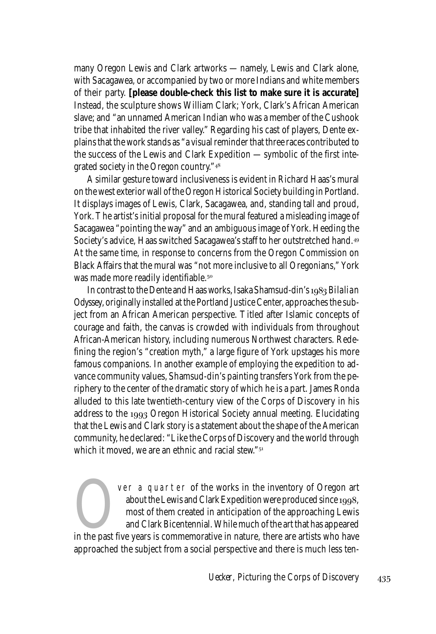many Oregon Lewis and Clark artworks — namely, Lewis and Clark alone, with Sacagawea, or accompanied by two or more Indians and white members of their party. **[please double-check this list to make sure it is accurate]** Instead, the sculpture shows William Clark; York, Clark's African American slave; and "an unnamed American Indian who was a member of the Cushook tribe that inhabited the river valley." Regarding his cast of players, Dente explains that the work stands as "a visual reminder that three races contributed to the success of the Lewis and Clark Expedition — symbolic of the first integrated society in the Oregon country."

A similar gesture toward inclusiveness is evident in Richard Haas's mural on the west exterior wall of the Oregon Historical Society building in Portland. It displays images of Lewis, Clark, Sacagawea, and, standing tall and proud, York. The artist's initial proposal for the mural featured a misleading image of Sacagawea "pointing the way" and an ambiguous image of York. Heeding the Society's advice, Haas switched Sacagawea's staff to her outstretched hand. At the same time, in response to concerns from the Oregon Commission on Black Affairs that the mural was "not more inclusive to all Oregonians," York was made more readily identifiable.

In contrast to the Dente and Haas works, Isaka Shamsud-din's 1983 *Bilalian Odyssey*, originally installed at the Portland Justice Center, approaches the subject from an African American perspective. Titled after Islamic concepts of courage and faith, the canvas is crowded with individuals from throughout African-American history, including numerous Northwest characters. Redefining the region's "creation myth," a large figure of York upstages his more famous companions. In another example of employing the expedition to advance community values, Shamsud-din's painting transfers York from the periphery to the center of the dramatic story of which he is a part. James Ronda alluded to this late twentieth-century view of the Corps of Discovery in his address to the 1993 Oregon Historical Society annual meeting. Elucidating that the Lewis and Clark story is a statement about the shape of the American community, he declared: "Like the Corps of Discovery and the world through which it moved, we are an ethnic and racial stew."<sup>51</sup>

Ver a quarter of the works in the inventory of Oregon art<br>
about the Lewis and Clark Expedition were produced since 1998,<br>
most of them created in anticipation of the approaching Lewis<br>
and Clark Bicentennial. While much o about the Lewis and Clark Expedition were produced since 1998, most of them created in anticipation of the approaching Lewis and Clark Bicentennial. While much of the art that has appeared approached the subject from a social perspective and there is much less ten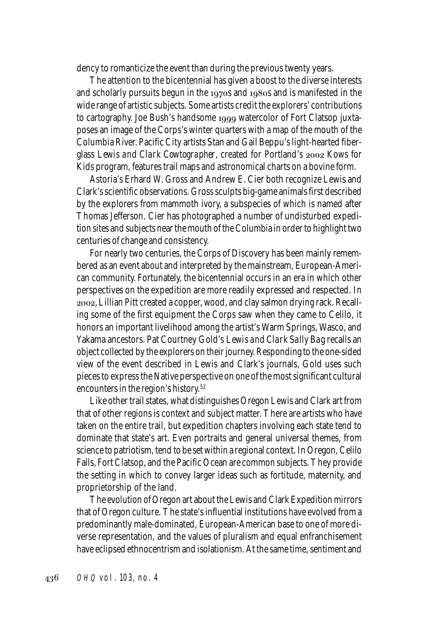dency to romanticize the event than during the previous twenty years.

The attention to the bicentennial has given a boost to the diverse interests and scholarly pursuits begun in the  $1970s$  and  $1980s$  and is manifested in the wide range of artistic subjects. Some artists credit the explorers' contributions to cartography. Joe Bush's handsome 1999 watercolor of Fort Clatsop juxtaposes an image of the Corps's winter quarters with a map of the mouth of the Columbia River. Pacific City artists Stan and Gail Beppu's light-hearted fiberglass *Lewis and Clark Cowtographer*, created for Portland's 2002 Kows for Kids program, features trail maps and astronomical charts on a bovine form.

Astoria's Erhard W. Gross and Andrew E. Cier both recognize Lewis and Clark's scientific observations. Gross sculpts big-game animals first described by the explorers from mammoth ivory, a subspecies of which is named after Thomas Jefferson. Cier has photographed a number of undisturbed expedition sites and subjects near the mouth of the Columbia in order to highlight two centuries of change and consistency.

For nearly two centuries, the Corps of Discovery has been mainly remembered as an event about and interpreted by the mainstream, European-American community. Fortunately, the bicentennial occurs in an era in which other perspectives on the expedition are more readily expressed and respected. In , Lillian Pitt created a copper, wood, and clay salmon drying rack. Recalling some of the first equipment the Corps saw when they came to Celilo, it honors an important livelihood among the artist's Warm Springs, Wasco, and Yakama ancestors. Pat Courtney Gold's *Lewis and Clark Sally Bag* recalls an object collected by the explorers on their journey. Responding to the one-sided view of the event described in Lewis and Clark's journals, Gold uses such pieces to express the Native perspective on one of the most significant cultural encounters in the region's history.<sup>52</sup>

Like other trail states, what distinguishes Oregon Lewis and Clark art from that of other regions is context and subject matter. There are artists who have taken on the entire trail, but expedition chapters involving each state tend to dominate that state's art. Even portraits and general universal themes, from science to patriotism, tend to be set within a regional context. In Oregon, Celilo Falls, Fort Clatsop, and the Pacific Ocean are common subjects. They provide the setting in which to convey larger ideas such as fortitude, maternity, and proprietorship of the land.

The evolution of Oregon art about the Lewis and Clark Expedition mirrors that of Oregon culture. The state's influential institutions have evolved from a predominantly male-dominated, European-American base to one of more diverse representation, and the values of pluralism and equal enfranchisement have eclipsed ethnocentrism and isolationism. At the same time, sentiment and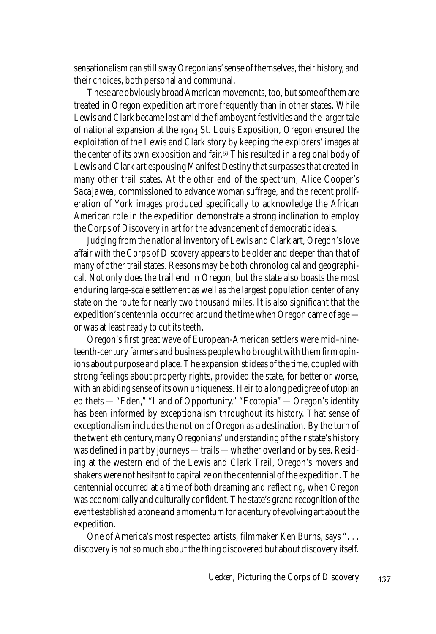sensationalism can still sway Oregonians' sense of themselves, their history, and their choices, both personal and communal.

These are obviously broad American movements, too, but some of them are treated in Oregon expedition art more frequently than in other states. While Lewis and Clark became lost amid the flamboyant festivities and the larger tale of national expansion at the  $1904$  St. Louis Exposition, Oregon ensured the exploitation of the Lewis and Clark story by keeping the explorers' images at the center of its own exposition and fair.<sup>53</sup> This resulted in a regional body of Lewis and Clark art espousing Manifest Destiny that surpasses that created in many other trail states. At the other end of the spectrum, Alice Cooper's *Sacajawea,* commissioned to advance woman suffrage, and the recent proliferation of York images produced specifically to acknowledge the African American role in the expedition demonstrate a strong inclination to employ the Corps of Discovery in art for the advancement of democratic ideals.

Judging from the national inventory of Lewis and Clark art, Oregon's love affair with the Corps of Discovery appears to be older and deeper than that of many of other trail states. Reasons may be both chronological and geographical. Not only does the trail end in Oregon, but the state also boasts the most enduring large-scale settlement as well as the largest population center of any state on the route for nearly two thousand miles. It is also significant that the expedition's centennial occurred around the time when Oregon came of age or was at least ready to cut its teeth.

Oregon's first great wave of European-American settlers were mid–nineteenth-century farmers and business people who brought with them firm opinions about purpose and place. The expansionist ideas of the time, coupled with strong feelings about property rights, provided the state, for better or worse, with an abiding sense of its own uniqueness. Heir to a long pedigree of utopian epithets — "Eden," "Land of Opportunity," "Ecotopia" — Oregon's identity has been informed by exceptionalism throughout its history. That sense of exceptionalism includes the notion of Oregon as a destination. By the turn of the twentieth century, many Oregonians' understanding of their state's history was defined in part by journeys — trails — whether overland or by sea. Residing at the western end of the Lewis and Clark Trail, Oregon's movers and shakers were not hesitant to capitalize on the centennial of the expedition. The centennial occurred at a time of both dreaming and reflecting, when Oregon was economically and culturally confident. The state's grand recognition of the event established a tone and a momentum for a century of evolving art about the expedition.

One of America's most respected artists, filmmaker Ken Burns, says ". . . discovery is not so much about the thing discovered but about discovery itself.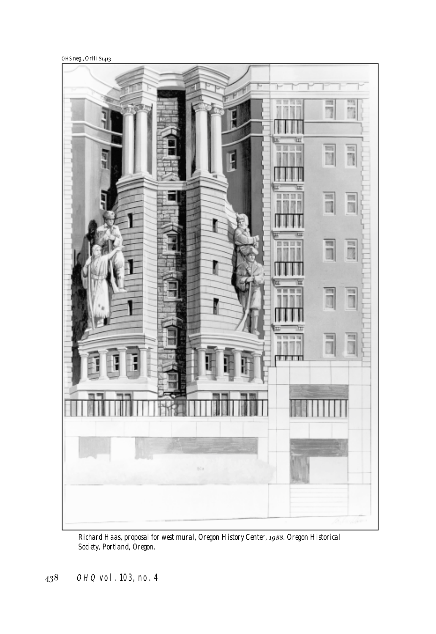OHS neg., OrHi



*Richard Haas, proposal for west mural, Oregon History Center, . Oregon Historical Society, Portland, Oregon.*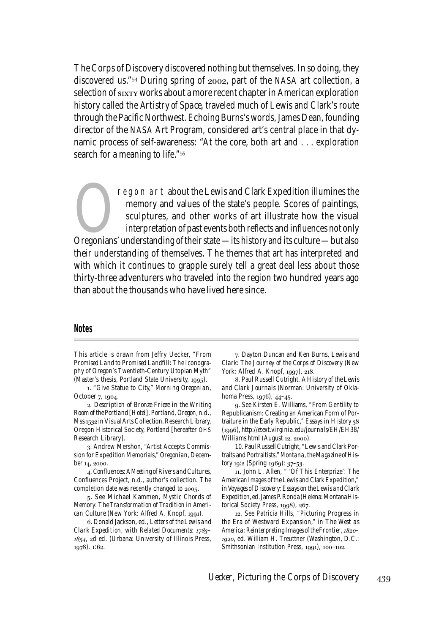The Corps of Discovery discovered nothing *but* themselves. In so doing, they discovered us." $54$  During spring of  $2002$ , part of the NASA art collection, a selection of sixty works about a more recent chapter in American exploration history called the *Artistry of Space*, traveled much of Lewis and Clark's route through the Pacific Northwest. Echoing Burns's words, James Dean, founding director of the NASA Art Program, considered art's central place in that dynamic process of self-awareness: "At the core, both art and . . . exploration search for a meaning to life."

regon art about the Lewis and Clark Expedition illumines the<br>
memory and values of the state's people. Scores of paintings,<br>
sculptures, and other works of art illustrate how the visual<br>
interpretation of past events both memory and values of the state's people. Scores of paintings, sculptures, and other works of art illustrate how the visual interpretation of past events both reflects and influences not only their understanding of themselves. The themes that art has interpreted and with which it continues to grapple surely tell a great deal less about those thirty-three adventurers who traveled into the region two hundred years ago than about the thousands who have lived here since.

## **Notes**

This article is drawn from Jeffry Uecker, "From *Promised Land* to *Promised Landfill*: The Iconography of Oregon's Twentieth-Century Utopian Myth" (Master's thesis, Portland State University, 1995).

. "Give Statue to City," *Morning Oregonian*, October 7, 1904.

. *Description of Bronze Frieze in the Writing Room of the Portland [Hotel], Portland, Oregon*, n.d., Mss 1532 in Visual Arts Collection, Research Library, Oregon Historical Society, Portland [hereafter OHS Research Library].

. Andrew Mershon, "Artist Accepts Commission for Expedition Memorials," *Oregonian*, December 14, 2000.

. *Confluences: A Meeting of Rivers and Cultures*, Confluences Project, n.d., author's collection. The completion date was recently changed to 2005.

. See Michael Kammen, *Mystic Chords of Memory: The Transformation of Tradition in American Culture* (New York: Alfred A. Knopf, 1991).

. Donald Jackson, ed., *Letters of the Lewis and Clark Expedition, with Related Documents: –*  $1854$ , 2d ed. (Urbana: University of Illinois Press, 1978), 1:62.

. Dayton Duncan and Ken Burns, *Lewis and Clark: The Journey of the Corps of Discovery* (New York: Alfred A. Knopf, 1997), 218.

. Paul Russell Cutright, *A History of the Lewis and Clark Journals* (Norman: University of Oklahoma Press, 1976), 44-45.

. See Kirsten E. Williams, "From Gentility to Republicanism: Creating an American Form of Portraiture in the Early Republic," *Essays in History* (), *http://etext.virginia.edu/journals/EH/EH38/ Williams.html* (August 12, 2000).

10. Paul Russell Cutright, "Lewis and Clark Portraits and Portraitists," *Montana, the Magazine of His*tory<sup>19:2</sup> (Spring<sup>1969</sup>): 37-53.

. John L. Allen, " 'Of This Enterprize': The American Images of the Lewis and Clark Expedition," in *Voyages of Discovery: Essays on the Lewis and Clark Expedition*, ed. James P. Ronda (Helena: Montana Historical Society Press,  $1998$ ,  $267$ .

. See Patricia Hills, "Picturing Progress in the Era of Westward Expansion," in *The West as America: Reinterpreting Images of the Frontier, –* 1920, ed. William H. Treuttner (Washington, D.C.: Smithsonian Institution Press, 1991), 100-102.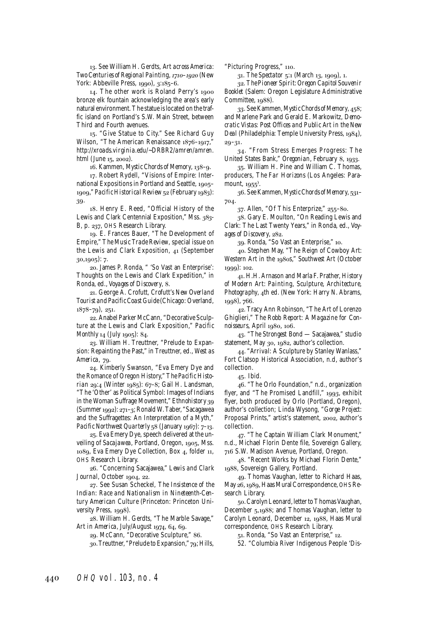. See William H. Gerdts, *Art across America: Two Centuries of Regional Painting, 1710-1920* (New York: Abbeville Press, 1990), 3:185-6.

14. The other work is Roland Perry's 1900 bronze elk fountain acknowledging the area's early natural environment. The statue is located on the traffic island on Portland's S.W. Main Street, between Third and Fourth avenues.

15. "Give Statue to City." See Richard Guy Wilson, "The American Renaissance 1876-1917," *http://xroads.virginia.edu/~DRBR2/amren/amren. html* (June 15, 2002).

16. Kammen, *Mystic Chords of Memory*, 138-9.

. Robert Rydell, "Visions of Empire: International Expositions in Portland and Seattle, 1905-1909," *Pacific Historical Review* 52 (February 1983): 39.

. Henry E. Reed, "Official History of the Lewis and Clark Centennial Exposition," Mss. 383-B, p. 237, OHS Research Library.

. E. Frances Bauer, "The Development of Empire," *The Music Trade Review,* special issue on the Lewis and Clark Exposition,  $41$  (September  $(30.1005)$ : 7.

. James P. Ronda, " 'So Vast an Enterprise': Thoughts on the Lewis and Clark Expedition," in Ronda, ed., *Voyages of Discovery*, 8.

. George A. Crofutt, *Crofutt's New Overland Tourist and Pacific Coast Guide* (Chicago: Overland,  $1878 - 79$ ,  $251$ .

. Anabel Parker McCann, "Decorative Sculpture at the Lewis and Clark Exposition," *Pacific Monthly* 14 (July 1905): 84.

23. William H. Treuttner, "Prelude to Expansion: Repainting the Past," in Treuttner, ed., *West as America*, 79.

. Kimberly Swanson, "Eva Emery Dye and the Romance of Oregon History," *The Pacific Historian* 29:4 (Winter 1985): 67-8; Gail H. Landsman, "The 'Other' as Political Symbol: Images of Indians in the Woman Suffrage Movement," *Ethnohistory* (Summer  $1992$ ):  $271-3$ ; Ronald W. Taber, "Sacagawea and the Suffragettes: An Interpretation of a Myth," Pacific Northwest Quarterly<sub>5</sub>8 (January 1967): 7-13.

. Eva Emery Dye, speech delivered at the unveiling of *Sacajawea*, Portland, Oregon, 1905, Mss. 1089, Eva Emery Dye Collection, Box 4, folder 11, OHS Research Library.

. "Concerning Sacajawea," *Lewis and Clark Journal*, October 1904, 22.

. See Susan Scheckel, *The Insistence of the Indian: Race and Nationalism in Nineteenth-Century American Culture* (Princeton: Princeton University Press, 1998).

. William H. Gerdts, "The Marble Savage," Art in America, July/August 1974, 64, 69.

29. McCann, "Decorative Sculpture," 86. 30. Treuttner, "Prelude to Expansion," 79; Hills, "Picturing Progress," 110.

31. The Spectator 5:1 (March 13, 1909), 1.

. *The Pioneer Spirit: Oregon Capitol Souvenir Booklet* (Salem: Oregon Legislature Administrative Committee, 1088).

33. See Kammen, *Mystic Chords of Memory*, 458; and Marlene Park and Gerald E. Markowitz, *Democratic Vistas: Post Offices and Public Art in the New* Deal (Philadelphia: Temple University Press, 1984),  $29 - 31.$ 

. "From Stress Emerges Progress: The United States Bank," *Oregonian*, February 8, 1933.

. William H. Pine and William C. Thomas, producers, *The Far Horizons* (Los Angeles: Paramount,  $1955$ .

. See Kammen, *Mystic Chords of Memory,* – 704.

 $37.$  Allen, "Of This Enterprize,"  $255-80.$ 

. Gary E. Moulton, "On Reading Lewis and Clark: The Last Twenty Years," in Ronda, ed., *Voy*ages of Discovery, 282.

39. Ronda, "So Vast an Enterprise," 10.

. Stephen May, "The Reign of Cowboy Art: Western Art in the 1980s," *Southwest Art* (October 1999): 102.

. H.H. Arnason and Marla F. Prather, *History of Modern Art: Painting, Sculpture, Architecture,* Photography, 4th ed. (New York: Harry N. Abrams,  $1998$ , 766.

. Tracy Ann Robinson, "The Art of Lorenzo Ghiglieri," *The Robb Report: A Magazine for Connoisseurs*, April 1980, 106.

. "*The Strongest Bond* — Sacajawea," studio statement, May 30, 1982, author's collection.

. "*Arrival:* A Sculpture by Stanley Wanlass," Fort Clatsop Historical Association, n.d, author's collection.

45. Ibid.

. "The Orlo Foundation," n.d., organization flyer, and "The Promised Landfill," 1993, exhibit flyer, both produced by Orlo (Portland, Oregon), author's collection; Linda Wysong, "*Gorge Project:* Proposal Prints," artist's statement, 2002, author's collection.

47. "The Captain William Clark Monument," n.d., Michael Florin Dente file, Sovereign Gallery, S.W. Madison Avenue, Portland, Oregon.

. "Recent Works by Michael Florin Dente," 1988, Sovereign Gallery, Portland.

. Thomas Vaughan, letter to Richard Haas, May 26, 1989, Haas Mural Correspondence, OHS Research Library.

. Carolyn Leonard, letter to Thomas Vaughan, December 5,1988; and Thomas Vaughan, letter to Carolyn Leonard, December 12, 1988, Haas Mural correspondence, OHS Research Library.

51. Ronda, "So Vast an Enterprise," 12.

52. "Columbia River Indigenous People 'Dis-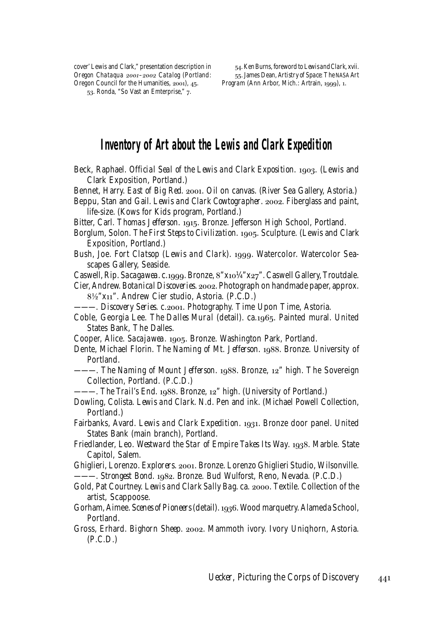cover' Lewis and Clark," presentation description in *Oregon Chataqua 2001-2002 Catalog* (Portland: Oregon Council for the Humanities, 2001), 45.

53. Ronda, "So Vast an Emterprise," 7.

. Ken Burns, foreword to *Lewis and Clark*, xvii. . James Dean, *Artistry of Space: The NASA Art Program* (Ann Arbor, Mich.: Artrain, 1999), 1.

## **Inventory of Art about the Lewis and Clark Expedition**

- Beck, Raphael. *Official Seal of the Lewis and Clark Exposition*. 1903. (Lewis and Clark Exposition, Portland.)
- Bennet, Harry. *East of Big Red.* 2001. Oil on canvas. (River Sea Gallery, Astoria.)
- Beppu, Stan and Gail. *Lewis and Clark Cowtographer*. 2002. Fiberglass and paint, life-size. (Kows for Kids program, Portland.)
- Bitter, Carl. *Thomas Jefferson*. 1915. Bronze. Jefferson High School, Portland.
- Borglum, Solon. *The First Steps to Civilization*. 1905. Sculpture. (Lewis and Clark Exposition, Portland.)
- Bush, Joe. *Fort Clatsop* (*Lewis and Clark*). 1999. Watercolor. Watercolor Seascapes Gallery, Seaside.
- Caswell, Rip. *Sacagawea*. c.1999. Bronze, 8"x101/4"x27". Caswell Gallery, Troutdale.
- Cier, Andrew. *Botanical Discoveries*. 2002. Photograph on handmade paper, approx.  $8\frac{1}{2}$ "x11". Andrew Cier studio, Astoria. (P.C.D.)
- -- *Discovery Series.* c.2001. Photography. Time Upon Time, Astoria.
- Coble, Georgia Lee. *The Dalles Mural* (detail). ca.1965. Painted mural. United States Bank, The Dalles.
- Cooper, Alice. *Sacajawea*. 1905. Bronze. Washington Park, Portland.
- Dente, Michael Florin. *The Naming of Mt. Jefferson*. 1988. Bronze. University of Portland.
- -. *The Naming of Mount Jefferson.* 1988. Bronze, 12" high. The Sovereign Collection, Portland. (*P.C.D.*)
- ———. *The Trail's End.* 1988. Bronze, 12" high. (University of Portland.)
- Dowling, Colista. *Lewis and Clark*. N.d. Pen and ink. (Michael Powell Collection, Portland.)
- Fairbanks, Avard. *Lewis and Clark Expedition*. 1931. Bronze door panel. United States Bank (main branch), Portland.
- Friedlander, Leo. *Westward the Star of Empire Takes Its Way*. 1938. Marble. State Capitol, Salem.
- Ghiglieri, Lorenzo. *Explorers.* 2001. Bronze. Lorenzo Ghiglieri Studio, Wilsonville. -- Strongest Bond. 1982. Bronze. Bud Wulforst, Reno, Nevada. (P.C.D.)
- Gold, Pat Courtney. Lewis and Clark Sally Bag. ca. 2000. Textile. Collection of the artist, Scappoose.
- Gorham, Aimee. *Scenes of Pioneers* (detail). 1936. Wood marquetry. Alameda School, Portland.
- Gross, Erhard. *Bighorn Sheep.* 2002. Mammoth ivory. Ivory Uniqhorn, Astoria. (*P.C.D.)*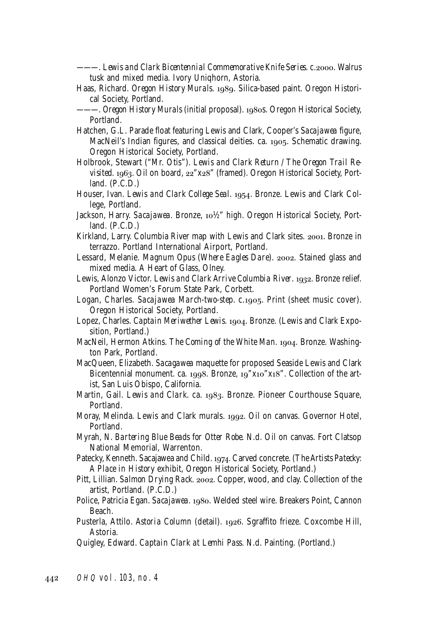- ———. *Lewis and Clark Bicentennial Commemorative Knife Series*. c.. Walrus tusk and mixed media. Ivory Uniqhorn, Astoria.
- Haas, Richard. Oregon History Murals. 1989. Silica-based paint. Oregon Historical Society, Portland.
- ———. *Oregon History Murals* (initial proposal). s. Oregon Historical Society, Portland.
- Hatchen, G.L. Parade float featuring Lewis and Clark, Cooper's *Sacajawea* figure, MacNeil's Indian figures, and classical deities. ca. 1905. Schematic drawing. Oregon Historical Society, Portland.
- Holbrook, Stewart ("Mr. Otis"). *Lewis and Clark Return / The Oregon Trail Re*visited. 1963. Oil on board, 22"x28" (framed). Oregon Historical Society, Portland. (*P.C.D.*)
- Houser, Ivan. *Lewis and Clark College Seal*. 1954. Bronze. Lewis and Clark College, Portland.
- Jackson, Harry. *Sacajawea*. Bronze, 10½" high. Oregon Historical Society, Portland. (*P.C.D.*)
- Kirkland, Larry. Columbia River map with Lewis and Clark sites. 2001. Bronze in terrazzo. Portland International Airport, Portland.
- Lessard, Melanie. *Magnum Opus* (Where Eagles Dare). 2002. Stained glass and mixed media. A Heart of Glass, Olney.
- Lewis, Alonzo Victor. *Lewis and Clark Arrive Columbia River*. 1932. Bronze relief. Portland Women's Forum State Park, Corbett.
- Logan, Charles. *Sacajawea March-two-step.* c.1905. Print (sheet music cover). Oregon Historical Society, Portland.
- Lopez, Charles. *Captain Meriwether Lewis*. 1904. Bronze. (Lewis and Clark Exposition, Portland.)
- MacNeil, Hermon Atkins. *The Coming of the White Man*. 1904. Bronze. Washington Park, Portland.
- MacQueen, Elizabeth. *Sacagawea* maquette for proposed Seaside Lewis and Clark Bicentennial monument. ca. 1998. Bronze,  $19$ " $x10$ " $x18$ ". Collection of the artist, San Luis Obispo, California.
- Martin, Gail. Lewis and Clark. ca. 1983. Bronze. Pioneer Courthouse Square, Portland.
- Moray, Melinda. Lewis and Clark murals. 1992. Oil on canvas. Governor Hotel, Portland.
- Myrah, N. *Bartering Blue Beads for Otter Robe*. N.d. Oil on canvas. Fort Clatsop National Memorial, Warrenton.
- Patecky, Kenneth. Sacajawea and Child. 1974. Carved concrete. (The Artists Patecky: *A Place in History* exhibit, Oregon Historical Society, Portland.)
- Pitt, Lillian. *Salmon Drying Rack.* 2002. Copper, wood, and clay. Collection of the artist, Portland. (*P.C.D.*)
- Police, Patricia Egan. *Sacajawea*. 1980. Welded steel wire. Breakers Point, Cannon Beach.
- Pusterla, Attilo. *Astoria Column* (detail). 1926. Sgraffito frieze. Coxcombe Hill, Astoria.
- Quigley, Edward. *Captain Clark at Lemhi Pass*. N.d. Painting. (Portland.)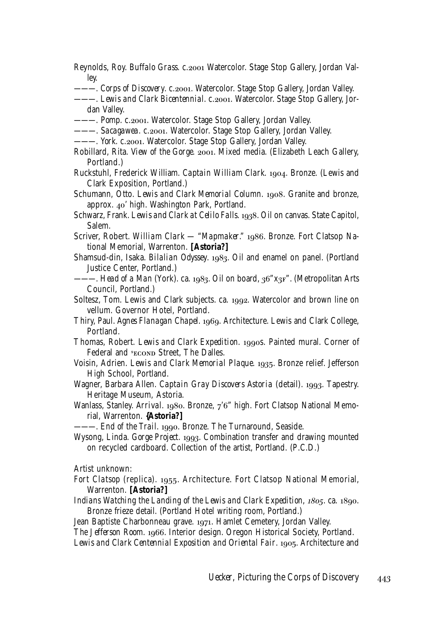- Reynolds, Roy. *Buffalo Grass.* c.2001 Watercolor. Stage Stop Gallery, Jordan Valley.
- —. *Corps of Discovery.* c.2001. Watercolor. Stage Stop Gallery, Jordan Valley.
- --- Lewis and Clark Bicentennial. c.2001. Watercolor. Stage Stop Gallery, Jordan Valley.
- ———. *Pomp.* c.2001. Watercolor. Stage Stop Gallery, Jordan Valley.
- ———. *Sacagawea*. c.2001. Watercolor. Stage Stop Gallery, Jordan Valley.
- --- *York. c.2001.* Watercolor. Stage Stop Gallery, Jordan Valley.
- Robillard, Rita. *View of the Gorge.* 2001. Mixed media. (Elizabeth Leach Gallery, Portland.)
- Ruckstuhl, Frederick William. *Captain William Clark*. 1904. Bronze. (Lewis and Clark Exposition, Portland.)
- Schumann, Otto. *Lewis and Clark Memorial Column*. 1908. Granite and bronze, approx.  $40'$  high. Washington Park, Portland.
- Schwarz, Frank. *Lewis and Clark at Celilo Falls*. 1938. Oil on canvas. State Capitol, Salem.
- Scriver, Robert. *William Clark "Mapmaker."* 1986. Bronze. Fort Clatsop National Memorial, Warrenton. **[Astoria?]**
- Shamsud-din, Isaka. *Bilalian Odyssey*. 1983. Oil and enamel on panel. (Portland Justice Center, Portland.)
- –. *Head of a Man* (York). ca. 1983. Oil on board, 36"x3F". (Metropolitan Arts Council, Portland.)
- Soltesz, Tom. Lewis and Clark subjects. ca. 1992. Watercolor and brown line on vellum. Governor Hotel, Portland.
- Thiry, Paul. *Agnes Flanagan Chapel*. 1969. Architecture. Lewis and Clark College, Portland.
- Thomas, Robert. *Lewis and Clark Expedition*. 1990s. Painted mural. Corner of Federal and *SECOND* Street, The Dalles.
- Voisin, Adrien. *Lewis and Clark Memorial Plaque*. 1935. Bronze relief. Jefferson High School, Portland.
- Wagner, Barbara Allen. *Captain Gray Discovers Astoria* (detail). 1993. Tapestry. Heritage Museum, Astoria.
- Wanlass, Stanley. *Arrival.* 1980. Bronze, 7'6" high. Fort Clatsop National Memorial, Warrenton. **{Astoria?]**

——. *End of the Trail.* 1990. Bronze. The Turnaround, Seaside.

Wysong, Linda. *Gorge Project*. 1993. Combination transfer and drawing mounted on recycled cardboard. Collection of the artist, Portland. (*P.C.D.*)

Artist unknown:

- *Fort Clatsop* (replica). 1955. Architecture. Fort Clatsop National Memorial, Warrenton. **[Astoria?]**
- *Indians Watching the Landing of the Lewis and Clark Expedition, 1805.* ca. 1890. Bronze frieze detail. (Portland Hotel writing room, Portland.)

Jean Baptiste Charbonneau grave. 1971. Hamlet Cemetery, Jordan Valley. The Jefferson Room. 1966. Interior design. Oregon Historical Society, Portland. Lewis and Clark Centennial Exposition and Oriental Fair. 1905. Architecture and